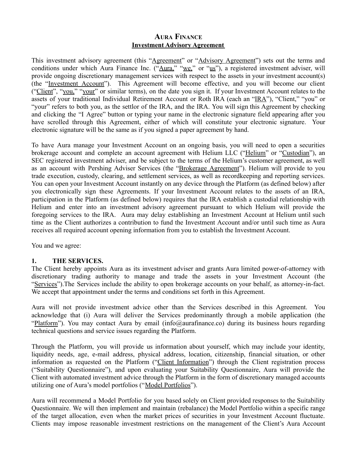# **AURA FINANCE Investment Advisory Agreement**

This investment advisory agreement (this "Agreement" or "Advisory Agreement") sets out the terms and conditions under which Aura Finance Inc. ("Aura," "we," or "us"), a registered investment adviser, will provide ongoing discretionary management services with respect to the assets in your investment account(s) (the "Investment Account"). This Agreement will become effective, and you will become our client ("Client", "you," "your" or similar terms), on the date you sign it. If your Investment Account relates to the assets of your traditional Individual Retirement Account or Roth IRA (each an "IRA"), "Client," "you" or "your" refers to both you, as the settlor of the IRA, and the IRA. You will sign this Agreement by checking and clicking the "I Agree" button or typing your name in the electronic signature field appearing after you have scrolled through this Agreement, either of which will constitute your electronic signature. Your electronic signature will be the same as if you signed a paper agreement by hand.

To have Aura manage your Investment Account on an ongoing basis, you will need to open a securities brokerage account and complete an account agreement with Helium LLC ("Helium" or "Custodian"), an SEC registered investment adviser, and be subject to the terms of the Helium's customer agreement, as well as an account with Pershing Adviser Services (the "Brokerage Agreement"). Helium will provide to you trade execution, custody, clearing, and settlement services, as well as recordkeeping and reporting services. You can open your Investment Account instantly on any device through the Platform (as defined below) after you electronically sign these Agreements. If your Investment Account relates to the assets of an IRA, participation in the Platform (as defined below) requires that the IRA establish a custodial relationship with Helium and enter into an investment advisory agreement pursuant to which Helium will provide the foregoing services to the IRA. Aura may delay establishing an Investment Account at Helium until such time as the Client authorizes a contribution to fund the Investment Account and/or until such time as Aura receives all required account opening information from you to establish the Investment Account.

You and we agree:

# **1. THE SERVICES.**

The Client hereby appoints Aura as its investment adviser and grants Aura limited power-of-attorney with discretionary trading authority to manage and trade the assets in your Investment Account (the "Services").The Services include the ability to open brokerage accounts on your behalf, as attorney-in-fact. We accept that appointment under the terms and conditions set forth in this Agreement.

Aura will not provide investment advice other than the Services described in this Agreement. You acknowledge that (i) Aura will deliver the Services predominantly through a mobile application (the "Platform"). You may contact Aura by email (info@aurafinance.co) during its business hours regarding technical questions and service issues regarding the Platform.

Through the Platform, you will provide us information about yourself, which may include your identity, liquidity needs, age, e-mail address, physical address, location, citizenship, financial situation, or other information as requested on the Platform ("Client Information") through the Client registration process ("Suitability Questionnaire"), and upon evaluating your Suitability Questionnaire, Aura will provide the Client with automated investment advice through the Platform in the form of discretionary managed accounts utilizing one of Aura's model portfolios ("Model Portfolios").

Aura will recommend a Model Portfolio for you based solely on Client provided responses to the Suitability Questionnaire. We will then implement and maintain (rebalance) the Model Portfolio within a specific range of the target allocation, even when the market prices of securities in your Investment Account fluctuate. Clients may impose reasonable investment restrictions on the management of the Client's Aura Account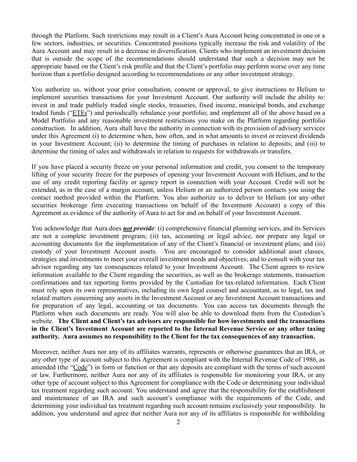through the Platform. Such restrictions may result in a Client's Aura Account being concentrated in one or a few sectors, industries, or securities. Concentrated positions typically increase the risk and volatility of the Aura Account and may result in a decrease in diversification. Clients who implement an investment decision that is outside the scope of the recommendations should understand that such a decision may not be appropriate based on the Client's risk profile and that the Client's portfolio may perform worse over any time horizon than a portfolio designed according to recommendations or any other investment strategy.

You authorize us, without your prior consultation, consent or approval, to give instructions to Helium to implement securities transactions for your Investment Account. Our authority will include the ability to: invest in and trade publicly traded single stocks, treasuries, fixed income, municipal bonds, and exchange traded funds ("ETFs") and periodically rebalance your portfolio; and implement all of the above based on a Model Portfolio and any reasonable investment restrictions you make on the Platform regarding portfolio construction. In addition, Aura shall have the authority in connection with its provision of advisory services under this Agreement (i) to determine when, how often, and in what amounts to invest or reinvest dividends in your Investment Account; (ii) to determine the timing of purchases in relation to deposits; and (iii) to determine the timing of sales and withdrawals in relation to requests for withdrawals or transfers.

If you have placed a security freeze on your personal information and credit, you consent to the temporary lifting of your security freeze for the purposes of opening your Investment Account with Helium, and to the use of any credit reporting facility or agency report in connection with your Account. Credit will not be extended, as in the case of a margin account, unless Helium or an authorized person contacts you using the contact method provided within the Platform. You also authorize us to deliver to Helium (or any other securities brokerage firm executing transactions on behalf of the Investment Account) a copy of this Agreement as evidence of the authority of Aura to act for and on behalf of your Investment Account.

You acknowledge that Aura does *not provide*: (i) comprehensive financial planning services, and its Services are not a complete investment program; (ii) tax, accounting or legal advice, nor prepare any legal or accounting documents for the implementation of any of the Client's financial or investment plans; and (iii) custody of your Investment Account assets. You are encouraged to consider additional asset classes, strategies and investments to meet your overall investment needs and objectives; and to consult with your tax advisor regarding any tax consequences related to your Investment Account. The Client agrees to review information available to the Client regarding the securities, as well as the brokerage statements, transaction confirmations and tax reporting forms provided by the Custodian for tax-related information. Each Client must rely upon its own representatives, including its own legal counsel and accountant, as to legal, tax and related matters concerning any assets in the Investment Account or any Investment Account transactions and for preparation of any legal, accounting or tax documents. You can access tax documents through the Platform when such documents are ready. You will also be able to download them from the Custodian's website. **The Client and Client's tax advisors are responsible for how investments and the transactions in the Client's Investment Account are reported to the Internal Revenue Service or any other taxing authority. Aura assumes no responsibility to the Client for the tax consequences of any transaction.**

Moreover, neither Aura nor any of its affiliates warrants, represents or otherwise guarantees that an IRA, or any other type of account subject to this Agreement is compliant with the Internal Revenue Code of 1986, as amended (the "Code") in form or function or that any deposits are compliant with the terms of such account or law. Furthermore, neither Aura nor any of its affiliates is responsible for monitoring your IRA, or any other type of account subject to this Agreement for compliance with the Code or determining your individual tax treatment regarding such account. You understand and agree that the responsibility for the establishment and maintenance of an IRA and such account's compliance with the requirements of the Code, and determining your individual tax treatment regarding such account remains exclusively your responsibility. In addition, you understand and agree that neither Aura nor any of its affiliates is responsible for withholding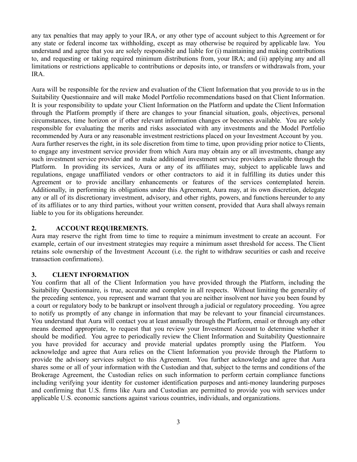any tax penalties that may apply to your IRA, or any other type of account subject to this Agreement or for any state or federal income tax withholding, except as may otherwise be required by applicable law. You understand and agree that you are solely responsible and liable for (i) maintaining and making contributions to, and requesting or taking required minimum distributions from, your IRA; and (ii) applying any and all limitations or restrictions applicable to contributions or deposits into, or transfers or withdrawals from, your IRA.

Aura will be responsible for the review and evaluation of the Client Information that you provide to us in the Suitability Questionnaire and will make Model Portfolio recommendations based on that Client Information. It is your responsibility to update your Client Information on the Platform and update the Client Information through the Platform promptly if there are changes to your financial situation, goals, objectives, personal circumstances, time horizon or if other relevant information changes or becomes available. You are solely responsible for evaluating the merits and risks associated with any investments and the Model Portfolio recommended by Aura or any reasonable investment restrictions placed on your Investment Account by you. Aura further reserves the right, in its sole discretion from time to time, upon providing prior notice to Clients, to engage any investment service provider from which Aura may obtain any or all investments, change any such investment service provider and to make additional investment service providers available through the Platform. In providing its services, Aura or any of its affiliates may, subject to applicable laws and regulations, engage unaffiliated vendors or other contractors to aid it in fulfilling its duties under this Agreement or to provide ancillary enhancements or features of the services contemplated herein. Additionally, in performing its obligations under this Agreement, Aura may, at its own discretion, delegate any or all of its discretionary investment, advisory, and other rights, powers, and functions hereunder to any of its affiliates or to any third parties, without your written consent, provided that Aura shall always remain liable to you for its obligations hereunder.

### **2. ACCOUNT REQUIREMENTS.**

Aura may reserve the right from time to time to require a minimum investment to create an account. For example, certain of our investment strategies may require a minimum asset threshold for access. The Client retains sole ownership of the Investment Account (i.e. the right to withdraw securities or cash and receive transaction confirmations).

### **3. CLIENT INFORMATION**

You confirm that all of the Client Information you have provided through the Platform, including the Suitability Questionnaire, is true, accurate and complete in all respects. Without limiting the generality of the preceding sentence, you represent and warrant that you are neither insolvent nor have you been found by a court or regulatory body to be bankrupt or insolvent through a judicial or regulatory proceeding. You agree to notify us promptly of any change in information that may be relevant to your financial circumstances. You understand that Aura will contact you at least annually through the Platform, email or through any other means deemed appropriate, to request that you review your Investment Account to determine whether it should be modified. You agree to periodically review the Client Information and Suitability Questionnaire you have provided for accuracy and provide material updates promptly using the Platform. You acknowledge and agree that Aura relies on the Client Information you provide through the Platform to provide the advisory services subject to this Agreement. You further acknowledge and agree that Aura shares some or all of your information with the Custodian and that, subject to the terms and conditions of the Brokerage Agreement, the Custodian relies on such information to perform certain compliance functions including verifying your identity for customer identification purposes and anti-money laundering purposes and confirming that U.S. firms like Aura and Custodian are permitted to provide you with services under applicable U.S. economic sanctions against various countries, individuals, and organizations.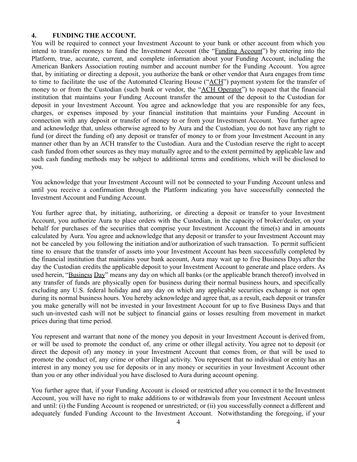#### **4. FUNDING THE ACCOUNT.**

You will be required to connect your Investment Account to your bank or other account from which you intend to transfer moneys to fund the Investment Account (the "Funding Account") by entering into the Platform, true, accurate, current, and complete information about your Funding Account, including the American Bankers Association routing number and account number for the Funding Account. You agree that, by initiating or directing a deposit, you authorize the bank or other vendor that Aura engages from time to time to facilitate the use of the Automated Clearing House ("ACH") payment system for the transfer of money to or from the Custodian (such bank or vendor, the "ACH Operator") to request that the financial institution that maintains your Funding Account transfer the amount of the deposit to the Custodian for deposit in your Investment Account. You agree and acknowledge that you are responsible for any fees, charges, or expenses imposed by your financial institution that maintains your Funding Account in connection with any deposit or transfer of money to or from your Investment Account. You further agree and acknowledge that, unless otherwise agreed to by Aura and the Custodian, you do not have any right to fund (or direct the funding of) any deposit or transfer of money to or from your Investment Account in any manner other than by an ACH transfer to the Custodian. Aura and the Custodian reserve the right to accept cash funded from other sources as they may mutually agree and to the extent permitted by applicable law and such cash funding methods may be subject to additional terms and conditions, which will be disclosed to you.

You acknowledge that your Investment Account will not be connected to your Funding Account unless and until you receive a confirmation through the Platform indicating you have successfully connected the Investment Account and Funding Account.

You further agree that, by initiating, authorizing, or directing a deposit or transfer to your Investment Account, you authorize Aura to place orders with the Custodian, in the capacity of broker/dealer, on your behalf for purchases of the securities that comprise your Investment Account the time(s) and in amounts calculated by Aura. You agree and acknowledge that any deposit or transfer to your Investment Account may not be canceled by you following the initiation and/or authorization of such transaction. To permit sufficient time to ensure that the transfer of assets into your Investment Account has been successfully completed by the financial institution that maintains your bank account, Aura may wait up to five Business Days after the day the Custodian credits the applicable deposit to your Investment Account to generate and place orders. As used herein, "Business Day" means any day on which all banks (or the applicable branch thereof) involved in any transfer of funds are physically open for business during their normal business hours, and specifically excluding any U.S. federal holiday and any day on which any applicable securities exchange is not open during its normal business hours. You hereby acknowledge and agree that, as a result, each deposit or transfer you make generally will not be invested in your Investment Account for up to five Business Days and that such un-invested cash will not be subject to financial gains or losses resulting from movement in market prices during that time period.

You represent and warrant that none of the money you deposit in your Investment Account is derived from, or will be used to promote the conduct of, any crime or other illegal activity. You agree not to deposit (or direct the deposit of) any money in your Investment Account that comes from, or that will be used to promote the conduct of, any crime or other illegal activity. You represent that no individual or entity has an interest in any money you use for deposits or in any money or securities in your Investment Account other than you or any other individual you have disclosed to Aura during account opening.

You further agree that, if your Funding Account is closed or restricted after you connect it to the Investment Account, you will have no right to make additions to or withdrawals from your Investment Account unless and until: (i) the Funding Account is reopened or unrestricted; or (ii) you successfully connect a different and adequately funded Funding Account to the Investment Account. Notwithstanding the foregoing, if your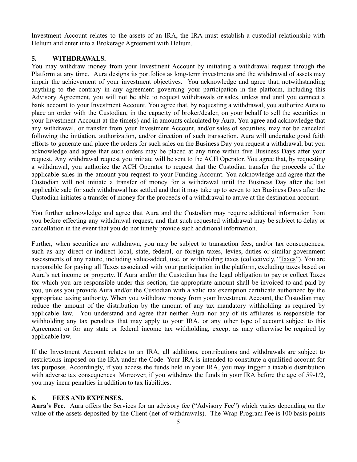Investment Account relates to the assets of an IRA, the IRA must establish a custodial relationship with Helium and enter into a Brokerage Agreement with Helium.

# **5. WITHDRAWALS.**

You may withdraw money from your Investment Account by initiating a withdrawal request through the Platform at any time. Aura designs its portfolios as long-term investments and the withdrawal of assets may impair the achievement of your investment objectives. You acknowledge and agree that, notwithstanding anything to the contrary in any agreement governing your participation in the platform, including this Advisory Agreement, you will not be able to request withdrawals or sales, unless and until you connect a bank account to your Investment Account. You agree that, by requesting a withdrawal, you authorize Aura to place an order with the Custodian, in the capacity of broker/dealer, on your behalf to sell the securities in your Investment Account at the time(s) and in amounts calculated by Aura. You agree and acknowledge that any withdrawal, or transfer from your Investment Account, and/or sales of securities, may not be canceled following the initiation, authorization, and/or direction of such transaction. Aura will undertake good faith efforts to generate and place the orders for such sales on the Business Day you request a withdrawal, but you acknowledge and agree that such orders may be placed at any time within five Business Days after your request. Any withdrawal request you initiate will be sent to the ACH Operator. You agree that, by requesting a withdrawal, you authorize the ACH Operator to request that the Custodian transfer the proceeds of the applicable sales in the amount you request to your Funding Account. You acknowledge and agree that the Custodian will not initiate a transfer of money for a withdrawal until the Business Day after the last applicable sale for such withdrawal has settled and that it may take up to seven to ten Business Days after the Custodian initiates a transfer of money for the proceeds of a withdrawal to arrive at the destination account.

You further acknowledge and agree that Aura and the Custodian may require additional information from you before effecting any withdrawal request, and that such requested withdrawal may be subject to delay or cancellation in the event that you do not timely provide such additional information.

Further, when securities are withdrawn, you may be subject to transaction fees, and/or tax consequences, such as any direct or indirect local, state, federal, or foreign taxes, levies, duties or similar government assessments of any nature, including value-added, use, or withholding taxes (collectively, "Taxes"). You are responsible for paying all Taxes associated with your participation in the platform, excluding taxes based on Aura's net income or property. If Aura and/or the Custodian has the legal obligation to pay or collect Taxes for which you are responsible under this section, the appropriate amount shall be invoiced to and paid by you, unless you provide Aura and/or the Custodian with a valid tax exemption certificate authorized by the appropriate taxing authority. When you withdraw money from your Investment Account, the Custodian may reduce the amount of the distribution by the amount of any tax mandatory withholding as required by applicable law. You understand and agree that neither Aura nor any of its affiliates is responsible for withholding any tax penalties that may apply to your IRA, or any other type of account subject to this Agreement or for any state or federal income tax withholding, except as may otherwise be required by applicable law.

If the Investment Account relates to an IRA, all additions, contributions and withdrawals are subject to restrictions imposed on the IRA under the Code. Your IRA is intended to constitute a qualified account for tax purposes. Accordingly, if you access the funds held in your IRA, you may trigger a taxable distribution with adverse tax consequences. Moreover, if you withdraw the funds in your IRA before the age of 59-1/2, you may incur penalties in addition to tax liabilities.

# **6. FEES AND EXPENSES.**

**Aura's Fee.** Aura offers the Services for an advisory fee ("Advisory Fee") which varies depending on the value of the assets deposited by the Client (net of withdrawals). The Wrap Program Fee is 100 basis points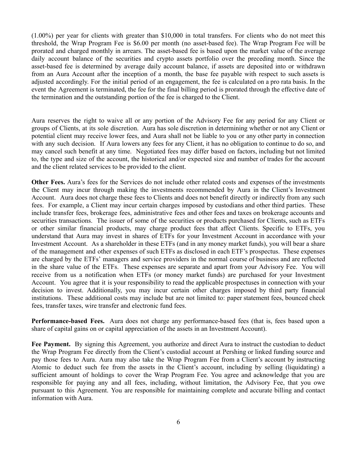(1.00%) per year for clients with greater than \$10,000 in total transfers. For clients who do not meet this threshold, the Wrap Program Fee is \$6.00 per month (no asset-based fee). The Wrap Program Fee will be prorated and charged monthly in arrears. The asset-based fee is based upon the market value of the average daily account balance of the securities and crypto assets portfolio over the preceding month. Since the asset-based fee is determined by average daily account balance, if assets are deposited into or withdrawn from an Aura Account after the inception of a month, the base fee payable with respect to such assets is adjusted accordingly. For the initial period of an engagement, the fee is calculated on a pro rata basis. In the event the Agreement is terminated, the fee for the final billing period is prorated through the effective date of the termination and the outstanding portion of the fee is charged to the Client.

Aura reserves the right to waive all or any portion of the Advisory Fee for any period for any Client or groups of Clients, at its sole discretion. Aura has sole discretion in determining whether or not any Client or potential client may receive lower fees, and Aura shall not be liable to you or any other party in connection with any such decision. If Aura lowers any fees for any Client, it has no obligation to continue to do so, and may cancel such benefit at any time. Negotiated fees may differ based on factors, including but not limited to, the type and size of the account, the historical and/or expected size and number of trades for the account and the client related services to be provided to the client.

**Other Fees.** Aura's fees for the Services do not include other related costs and expenses of the investments the Client may incur through making the investments recommended by Aura in the Client's Investment Account. Aura does not charge these fees to Clients and does not benefit directly or indirectly from any such fees. For example, a Client may incur certain charges imposed by custodians and other third parties. These include transfer fees, brokerage fees, administrative fees and other fees and taxes on brokerage accounts and securities transactions. The issuer of some of the securities or products purchased for Clients, such as ETFs or other similar financial products, may charge product fees that affect Clients. Specific to ETFs, you understand that Aura may invest in shares of ETFs for your Investment Account in accordance with your Investment Account. As a shareholder in these ETFs (and in any money market funds), you will bear a share of the management and other expenses of such ETFs as disclosed in each ETF's prospectus. These expenses are charged by the ETFs' managers and service providers in the normal course of business and are reflected in the share value of the ETFs. These expenses are separate and apart from your Advisory Fee. You will receive from us a notification when ETFs (or money market funds) are purchased for your Investment Account. You agree that it is your responsibility to read the applicable prospectuses in connection with your decision to invest. Additionally, you may incur certain other charges imposed by third party financial institutions. These additional costs may include but are not limited to: paper statement fees, bounced check fees, transfer taxes, wire transfer and electronic fund fees.

**Performance-based Fees.** Aura does not charge any performance-based fees (that is, fees based upon a share of capital gains on or capital appreciation of the assets in an Investment Account).

**Fee Payment.** By signing this Agreement, you authorize and direct Aura to instruct the custodian to deduct the Wrap Program Fee directly from the Client's custodial account at Pershing or linked funding source and pay those fees to Aura. Aura may also take the Wrap Program Fee from a Client's account by instructing Atomic to deduct such fee from the assets in the Client's account, including by selling (liquidating) a sufficient amount of holdings to cover the Wrap Program Fee. You agree and acknowledge that you are responsible for paying any and all fees, including, without limitation, the Advisory Fee, that you owe pursuant to this Agreement. You are responsible for maintaining complete and accurate billing and contact information with Aura.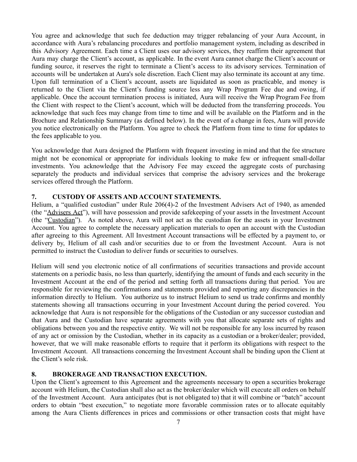You agree and acknowledge that such fee deduction may trigger rebalancing of your Aura Account, in accordance with Aura's rebalancing procedures and portfolio management system, including as described in this Advisory Agreement. Each time a Client uses our advisory services, they reaffirm their agreement that Aura may charge the Client's account, as applicable. In the event Aura cannot charge the Client's account or funding source, it reserves the right to terminate a Client's access to its advisory services. Termination of accounts will be undertaken at Aura's sole discretion. Each Client may also terminate its account at any time. Upon full termination of a Client's account, assets are liquidated as soon as practicable, and money is returned to the Client via the Client's funding source less any Wrap Program Fee due and owing, if applicable. Once the account termination process is initiated, Aura will receive the Wrap Program Fee from the Client with respect to the Client's account, which will be deducted from the transferring proceeds. You acknowledge that such fees may change from time to time and will be available on the Platform and in the Brochure and Relationship Summary (as defined below). In the event of a change in fees, Aura will provide you notice electronically on the Platform. You agree to check the Platform from time to time for updates to the fees applicable to you.

You acknowledge that Aura designed the Platform with frequent investing in mind and that the fee structure might not be economical or appropriate for individuals looking to make few or infrequent small-dollar investments. You acknowledge that the Advisory Fee may exceed the aggregate costs of purchasing separately the products and individual services that comprise the advisory services and the brokerage services offered through the Platform.

## **7. CUSTODY OF ASSETS AND ACCOUNT STATEMENTS.**

Helium, a "qualified custodian" under Rule 206(4)-2 of the Investment Advisers Act of 1940, as amended (the "Advisers Act"), will have possession and provide safekeeping of your assets in the Investment Account (the "Custodian"). As noted above, Aura will not act as the custodian for the assets in your Investment Account. You agree to complete the necessary application materials to open an account with the Custodian after agreeing to this Agreement. All Investment Account transactions will be effected by a payment to, or delivery by, Helium of all cash and/or securities due to or from the Investment Account. Aura is not permitted to instruct the Custodian to deliver funds or securities to ourselves.

Helium will send you electronic notice of all confirmations of securities transactions and provide account statements on a periodic basis, no less than quarterly, identifying the amount of funds and each security in the Investment Account at the end of the period and setting forth all transactions during that period. You are responsible for reviewing the confirmations and statements provided and reporting any discrepancies in the information directly to Helium. You authorize us to instruct Helium to send us trade confirms and monthly statements showing all transactions occurring in your Investment Account during the period covered. You acknowledge that Aura is not responsible for the obligations of the Custodian or any successor custodian and that Aura and the Custodian have separate agreements with you that allocate separate sets of rights and obligations between you and the respective entity. We will not be responsible for any loss incurred by reason of any act or omission by the Custodian, whether in its capacity as a custodian or a broker/dealer; provided, however, that we will make reasonable efforts to require that it perform its obligations with respect to the Investment Account. All transactions concerning the Investment Account shall be binding upon the Client at the Client's sole risk.

### **8. BROKERAGE AND TRANSACTION EXECUTION.**

Upon the Client's agreement to this Agreement and the agreements necessary to open a securities brokerage account with Helium, the Custodian shall also act as the broker/dealer which will execute all orders on behalf of the Investment Account. Aura anticipates (but is not obligated to) that it will combine or "batch" account orders to obtain "best execution," to negotiate more favorable commission rates or to allocate equitably among the Aura Clients differences in prices and commissions or other transaction costs that might have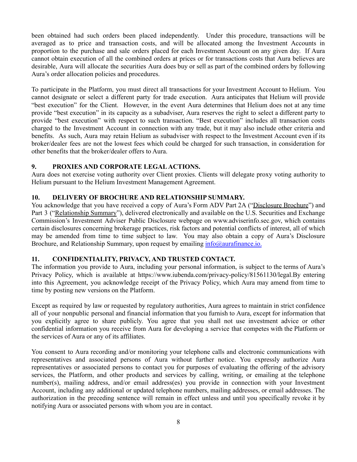been obtained had such orders been placed independently. Under this procedure, transactions will be averaged as to price and transaction costs, and will be allocated among the Investment Accounts in proportion to the purchase and sale orders placed for each Investment Account on any given day. If Aura cannot obtain execution of all the combined orders at prices or for transactions costs that Aura believes are desirable, Aura will allocate the securities Aura does buy or sell as part of the combined orders by following Aura's order allocation policies and procedures.

To participate in the Platform, you must direct all transactions for your Investment Account to Helium. You cannot designate or select a different party for trade execution. Aura anticipates that Helium will provide "best execution" for the Client. However, in the event Aura determines that Helium does not at any time provide "best execution" in its capacity as a subadviser, Aura reserves the right to select a different party to provide "best execution" with respect to such transaction. "Best execution" includes all transaction costs charged to the Investment Account in connection with any trade, but it may also include other criteria and benefits. As such, Aura may retain Helium as subadviser with respect to the Investment Account even if its broker/dealer fees are not the lowest fees which could be charged for such transaction, in consideration for other benefits that the broker/dealer offers to Aura.

## **9. PROXIES AND CORPORATE LEGALACTIONS.**

Aura does not exercise voting authority over Client proxies. Clients will delegate proxy voting authority to Helium pursuant to the Helium Investment Management Agreement.

## **10. DELIVERY OF BROCHURE AND RELATIONSHIP SUMMARY.**

You acknowledge that you have received a copy of Aura's Form ADV Part 2A ("Disclosure Brochure") and Part 3 ("Relationship Summary"), delivered electronically and available on the U.S. Securities and Exchange Commission's Investment Adviser Public Disclosure webpage on www.adviserinfo.sec.gov, which contains certain disclosures concerning brokerage practices, risk factors and potential conflicts of interest, all of which may be amended from time to time subject to law. You may also obtain a copy of Aura's Disclosure Brochure, and Relationship Summary, upon request by emailing info@aurafinance.io.

### **11. CONFIDENTIALITY, PRIVACY, AND TRUSTED CONTACT.**

The information you provide to Aura, including your personal information, is subject to the terms of Aura's Privacy Policy, which is available at https://www.iubenda.com/privacy-policy/81561130/legal.By entering into this Agreement, you acknowledge receipt of the Privacy Policy, which Aura may amend from time to time by posting new versions on the Platform.

Except as required by law or requested by regulatory authorities, Aura agrees to maintain in strict confidence all of your nonpublic personal and financial information that you furnish to Aura, except for information that you explicitly agree to share publicly. You agree that you shall not use investment advice or other confidential information you receive from Aura for developing a service that competes with the Platform or the services of Aura or any of its affiliates.

You consent to Aura recording and/or monitoring your telephone calls and electronic communications with representatives and associated persons of Aura without further notice. You expressly authorize Aura representatives or associated persons to contact you for purposes of evaluating the offering of the advisory services, the Platform, and other products and services by calling, writing, or emailing at the telephone number(s), mailing address, and/or email address(es) you provide in connection with your Investment Account, including any additional or updated telephone numbers, mailing addresses, or email addresses. The authorization in the preceding sentence will remain in effect unless and until you specifically revoke it by notifying Aura or associated persons with whom you are in contact.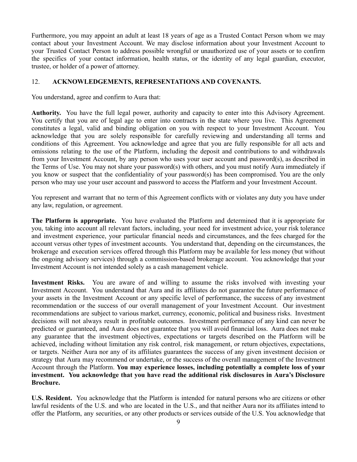Furthermore, you may appoint an adult at least 18 years of age as a Trusted Contact Person whom we may contact about your Investment Account. We may disclose information about your Investment Account to your Trusted Contact Person to address possible wrongful or unauthorized use of your assets or to confirm the specifics of your contact information, health status, or the identity of any legal guardian, executor, trustee, or holder of a power of attorney.

### 12. **ACKNOWLEDGEMENTS, REPRESENTATIONS AND COVENANTS.**

You understand, agree and confirm to Aura that:

**Authority.** You have the full legal power, authority and capacity to enter into this Advisory Agreement. You certify that you are of legal age to enter into contracts in the state where you live. This Agreement constitutes a legal, valid and binding obligation on you with respect to your Investment Account. You acknowledge that you are solely responsible for carefully reviewing and understanding all terms and conditions of this Agreement. You acknowledge and agree that you are fully responsible for all acts and omissions relating to the use of the Platform, including the deposit and contributions to and withdrawals from your Investment Account, by any person who uses your user account and password(s), as described in the Terms of Use. You may not share your password(s) with others, and you must notify Aura immediately if you know or suspect that the confidentiality of your password(s) has been compromised. You are the only person who may use your user account and password to access the Platform and your Investment Account.

You represent and warrant that no term of this Agreement conflicts with or violates any duty you have under any law, regulation, or agreement.

**The Platform is appropriate.** You have evaluated the Platform and determined that it is appropriate for you, taking into account all relevant factors, including, your need for investment advice, your risk tolerance and investment experience, your particular financial needs and circumstances, and the fees charged for the account versus other types of investment accounts. You understand that, depending on the circumstances, the brokerage and execution services offered through this Platform may be available for less money (but without the ongoing advisory services) through a commission-based brokerage account. You acknowledge that your Investment Account is not intended solely as a cash management vehicle.

**Investment Risks.** You are aware of and willing to assume the risks involved with investing your Investment Account. You understand that Aura and its affiliates do not guarantee the future performance of your assets in the Investment Account or any specific level of performance, the success of any investment recommendation or the success of our overall management of your Investment Account. Our investment recommendations are subject to various market, currency, economic, political and business risks. Investment decisions will not always result in profitable outcomes. Investment performance of any kind can never be predicted or guaranteed, and Aura does not guarantee that you will avoid financial loss. Aura does not make any guarantee that the investment objectives, expectations or targets described on the Platform will be achieved, including without limitation any risk control, risk management, or return objectives, expectations, or targets. Neither Aura nor any of its affiliates guarantees the success of any given investment decision or strategy that Aura may recommend or undertake, or the success of the overall management of the Investment Account through the Platform. **You may experience losses, including potentially a complete loss of your investment. You acknowledge that you have read the additional risk disclosures in Aura's Disclosure Brochure.**

**U.S. Resident.** You acknowledge that the Platform is intended for natural persons who are citizens or other lawful residents of the U.S. and who are located in the U.S., and that neither Aura nor its affiliates intend to offer the Platform, any securities, or any other products or services outside of the U.S. You acknowledge that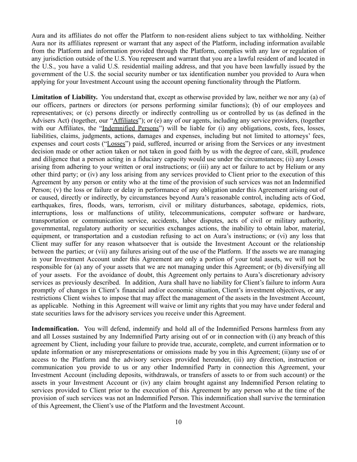Aura and its affiliates do not offer the Platform to non-resident aliens subject to tax withholding. Neither Aura nor its affiliates represent or warrant that any aspect of the Platform, including information available from the Platform and information provided through the Platform, complies with any law or regulation of any jurisdiction outside of the U.S. You represent and warrant that you are a lawful resident of and located in the U.S., you have a valid U.S. residential mailing address, and that you have been lawfully issued by the government of the U.S. the social security number or tax identification number you provided to Aura when applying for your Investment Account using the account opening functionality through the Platform.

**Limitation of Liability.** You understand that, except as otherwise provided by law, neither we nor any (a) of our officers, partners or directors (or persons performing similar functions); (b) of our employees and representatives; or (c) persons directly or indirectly controlling us or controlled by us (as defined in the Advisers Act) (together, our "Affiliates"); or (e) any of our agents, including any service providers, (together with our Affiliates, the "Indemnified Persons") will be liable for (i) any obligations, costs, fees, losses, liabilities, claims, judgments, actions, damages and expenses, including but not limited to attorneys' fees, expenses and court costs ("Losses") paid, suffered, incurred or arising from the Services or any investment decision made or other action taken or not taken in good faith by us with the degree of care, skill, prudence and diligence that a person acting in a fiduciary capacity would use under the circumstances; (ii) any Losses arising from adhering to your written or oral instructions; or (iii) any act or failure to act by Helium or any other third party; or (iv) any loss arising from any services provided to Client prior to the execution of this Agreement by any person or entity who at the time of the provision of such services was not an Indemnified Person; (v) the loss or failure or delay in performance of any obligation under this Agreement arising out of or caused, directly or indirectly, by circumstances beyond Aura's reasonable control, including acts of God, earthquakes, fires, floods, wars, terrorism, civil or military disturbances, sabotage, epidemics, riots, interruptions, loss or malfunctions of utility, telecommunications, computer software or hardware, transportation or communication service, accidents, labor disputes, acts of civil or military authority, governmental, regulatory authority or securities exchanges actions, the inability to obtain labor, material, equipment, or transportation and a custodian refusing to act on Aura's instructions; or (vi) any loss that Client may suffer for any reason whatsoever that is outside the Investment Account or the relationship between the parties; or (vii) any failures arising out of the use of the Platform. If the assets we are managing in your Investment Account under this Agreement are only a portion of your total assets, we will not be responsible for (a) any of your assets that we are not managing under this Agreement; or (b) diversifying all of your assets. For the avoidance of doubt, this Agreement only pertains to Aura's discretionary advisory services as previously described. In addition, Aura shall have no liability for Client's failure to inform Aura promptly of changes in Client's financial and/or economic situation, Client's investment objectives, or any restrictions Client wishes to impose that may affect the management of the assets in the Investment Account, as applicable. Nothing in this Agreement will waive or limit any rights that you may have under federal and state securities laws for the advisory services you receive under this Agreement.

**Indemnification.** You will defend, indemnify and hold all of the Indemnified Persons harmless from any and all Losses sustained by any Indemnified Party arising out of or in connection with (i) any breach of this agreement by Client, including your failure to provide true, accurate, complete, and current information or to update information or any misrepresentations or omissions made by you in this Agreement; (ii)any use of or access to the Platform and the advisory services provided hereunder, (iii) any direction, instruction or communication you provide to us or any other Indemnified Party in connection this Agreement, your Investment Account (including deposits, withdrawals, or transfers of assets to or from such account) or the assets in your Investment Account or (iv) any claim brought against any Indemnified Person relating to services provided to Client prior to the execution of this Agreement by any person who at the time of the provision of such services was not an Indemnified Person. This indemnification shall survive the termination of this Agreement, the Client's use of the Platform and the Investment Account.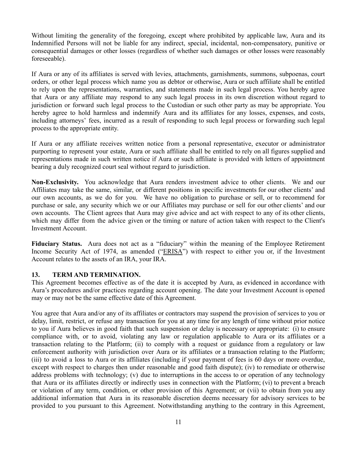Without limiting the generality of the foregoing, except where prohibited by applicable law, Aura and its Indemnified Persons will not be liable for any indirect, special, incidental, non-compensatory, punitive or consequential damages or other losses (regardless of whether such damages or other losses were reasonably foreseeable).

If Aura or any of its affiliates is served with levies, attachments, garnishments, summons, subpoenas, court orders, or other legal process which name you as debtor or otherwise, Aura or such affiliate shall be entitled to rely upon the representations, warranties, and statements made in such legal process. You hereby agree that Aura or any affiliate may respond to any such legal process in its own discretion without regard to jurisdiction or forward such legal process to the Custodian or such other party as may be appropriate. You hereby agree to hold harmless and indemnify Aura and its affiliates for any losses, expenses, and costs, including attorneys' fees, incurred as a result of responding to such legal process or forwarding such legal process to the appropriate entity.

If Aura or any affiliate receives written notice from a personal representative, executor or administrator purporting to represent your estate, Aura or such affiliate shall be entitled to rely on all figures supplied and representations made in such written notice if Aura or such affiliate is provided with letters of appointment bearing a duly recognized court seal without regard to jurisdiction.

**Non-Exclusivity.** You acknowledge that Aura renders investment advice to other clients. We and our Affiliates may take the same, similar, or different positions in specific investments for our other clients' and our own accounts, as we do for you. We have no obligation to purchase or sell, or to recommend for purchase or sale, any security which we or our Affiliates may purchase or sell for our other clients' and our own accounts. The Client agrees that Aura may give advice and act with respect to any of its other clients, which may differ from the advice given or the timing or nature of action taken with respect to the Client's Investment Account.

**Fiduciary Status.** Aura does not act as a "fiduciary" within the meaning of the Employee Retirement Income Security Act of 1974, as amended ("ERISA") with respect to either you or, if the Investment Account relates to the assets of an IRA, your IRA.

### **13. TERM AND TERMINATION.**

This Agreement becomes effective as of the date it is accepted by Aura, as evidenced in accordance with Aura's procedures and/or practices regarding account opening. The date your Investment Account is opened may or may not be the same effective date of this Agreement.

You agree that Aura and/or any of its affiliates or contractors may suspend the provision of services to you or delay, limit, restrict, or refuse any transaction for you at any time for any length of time without prior notice to you if Aura believes in good faith that such suspension or delay is necessary or appropriate: (i) to ensure compliance with, or to avoid, violating any law or regulation applicable to Aura or its affiliates or a transaction relating to the Platform; (ii) to comply with a request or guidance from a regulatory or law enforcement authority with jurisdiction over Aura or its affiliates or a transaction relating to the Platform; (iii) to avoid a loss to Aura or its affiliates (including if your payment of fees is 60 days or more overdue, except with respect to charges then under reasonable and good faith dispute); (iv) to remediate or otherwise address problems with technology; (v) due to interruptions in the access to or operation of any technology that Aura or its affiliates directly or indirectly uses in connection with the Platform; (vi) to prevent a breach or violation of any term, condition, or other provision of this Agreement; or (vii) to obtain from you any additional information that Aura in its reasonable discretion deems necessary for advisory services to be provided to you pursuant to this Agreement. Notwithstanding anything to the contrary in this Agreement,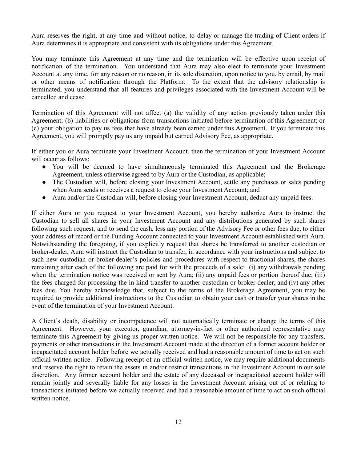Aura reserves the right, at any time and without notice, to delay or manage the trading of Client orders if Aura determines it is appropriate and consistent with its obligations under this Agreement.

You may terminate this Agreement at any time and the termination will be effective upon receipt of notification of the termination. You understand that Aura may also elect to terminate your Investment Account at any time, for any reason or no reason, in its sole discretion, upon notice to you, by email, by mail or other means of notification through the Platform. To the extent that the advisory relationship is terminated, you understand that all features and privileges associated with the Investment Account will be cancelled and cease.

Termination of this Agreement will not affect (a) the validity of any action previously taken under this Agreement; (b) liabilities or obligations from transactions initiated before termination of this Agreement; or (c) your obligation to pay us fees that have already been earned under this Agreement. If you terminate this Agreement, you will promptly pay us any unpaid but earned Advisory Fee, as appropriate.

If either you or Aura terminate your Investment Account, then the termination of your Investment Account will occur as follows:

- You will be deemed to have simultaneously terminated this Agreement and the Brokerage Agreement, unless otherwise agreed to by Aura or the Custodian, as applicable;
- The Custodian will, before closing your Investment Account, settle any purchases or sales pending when Aura sends or receives a request to close your Investment Account; and
- Aura and/or the Custodian will, before closing your Investment Account, deduct any unpaid fees.

If either Aura or you request to your Investment Account, you hereby authorize Aura to instruct the Custodian to sell all shares in your Investment Account and any distributions generated by such shares following such request, and to send the cash, less any portion of the Advisory Fee or other fees due, to either your address of record or the Funding Account connected to your Investment Account established with Aura. Notwithstanding the foregoing, if you explicitly request that shares be transferred to another custodian or broker-dealer, Aura will instruct the Custodian to transfer, in accordance with your instructions and subject to such new custodian or broker-dealer's policies and procedures with respect to fractional shares, the shares remaining after each of the following are paid for with the proceeds of a sale: (i) any withdrawals pending when the termination notice was received or sent by Aura; (ii) any unpaid fees or portion thereof due; (iii) the fees charged for processing the in-kind transfer to another custodian or broker-dealer; and (iv) any other fees due. You hereby acknowledge that, subject to the terms of the Brokerage Agreement, you may be required to provide additional instructions to the Custodian to obtain your cash or transfer your shares in the event of the termination of your Investment Account.

A Client's death, disability or incompetence will not automatically terminate or change the terms of this Agreement. However, your executor, guardian, attorney-in-fact or other authorized representative may terminate this Agreement by giving us proper written notice. We will not be responsible for any transfers, payments or other transactions in the Investment Account made at the direction of a former account holder or incapacitated account holder before we actually received and had a reasonable amount of time to act on such official written notice. Following receipt of an official written notice, we may require additional documents and reserve the right to retain the assets in and/or restrict transactions in the Investment Account in our sole discretion. Any former account holder and the estate of any deceased or incapacitated account holder will remain jointly and severally liable for any losses in the Investment Account arising out of or relating to transactions initiated before we actually received and had a reasonable amount of time to act on such official written notice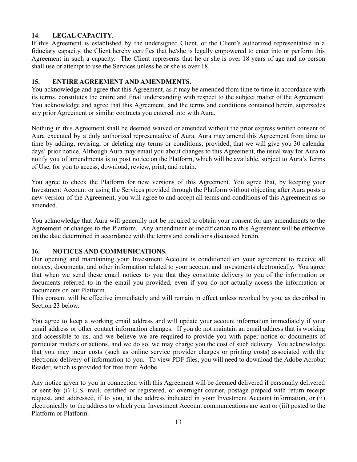# **14. LEGAL CAPACITY.**

If this Agreement is established by the undersigned Client, or the Client's authorized representative in a fiduciary capacity, the Client hereby certifies that he/she is legally empowered to enter into or perform this Agreement in such a capacity. The Client represents that he or she is over 18 years of age and no person shall use or attempt to use the Services unless he or she is over 18.

# **15. ENTIRE AGREEMENT AND AMENDMENTS.**

You acknowledge and agree that this Agreement, as it may be amended from time to time in accordance with its terms, constitutes the entire and final understanding with respect to the subject matter of the Agreement. You acknowledge and agree that this Agreement, and the terms and conditions contained herein, supersedes any prior Agreement or similar contracts you entered into with Aura.

Nothing in this Agreement shall be deemed waived or amended without the prior express written consent of Aura executed by a duly authorized representative of Aura. Aura may amend this Agreement from time to time by adding, revising, or deleting any terms or conditions, provided, that we will give you 30 calendar days' prior notice. Although Aura may email you about changes to this Agreement, the usual way for Aura to notify you of amendments is to post notice on the Platform, which will be available, subject to Aura's Terms of Use, for you to access, download, review, print, and retain.

You agree to check the Platform for new versions of this Agreement. You agree that, by keeping your Investment Account or using the Services provided through the Platform without objecting after Aura posts a new version of the Agreement, you will agree to and accept all terms and conditions of this Agreement as so amended.

You acknowledge that Aura will generally not be required to obtain your consent for any amendments to the Agreement or changes to the Platform. Any amendment or modification to this Agreement will be effective on the date determined in accordance with the terms and conditions discussed herein.

# **16. NOTICES AND COMMUNICATIONS.**

Our opening and maintaining your Investment Account is conditioned on your agreement to receive all notices, documents, and other information related to your account and investments electronically. You agree that when we send these email notices to you that they constitute delivery to you of the information or documents referred to in the email you provided, even if you do not actually access the information or documents on our Platform.

This consent will be effective immediately and will remain in effect unless revoked by you, as described in Section 23 below.

You agree to keep a working email address and will update your account information immediately if your email address or other contact information changes. If you do not maintain an email address that is working and accessible to us, and we believe we are required to provide you with paper notice or documents of particular matters or actions, and we do so, we may charge you the cost of such delivery. You acknowledge that you may incur costs (such as online service provider charges or printing costs) associated with the electronic delivery of information to you. To view PDF files, you will need to download the Adobe Acrobat Reader, which is provided for free from Adobe.

Any notice given to you in connection with this Agreement will be deemed delivered if personally delivered or sent by (i) U.S. mail, certified or registered, or overnight courier, postage prepaid with return receipt request, and addressed, if to you, at the address indicated in your Investment Account information, or (ii) electronically to the address to which your Investment Account communications are sent or (iii) posted to the Platform or Platform.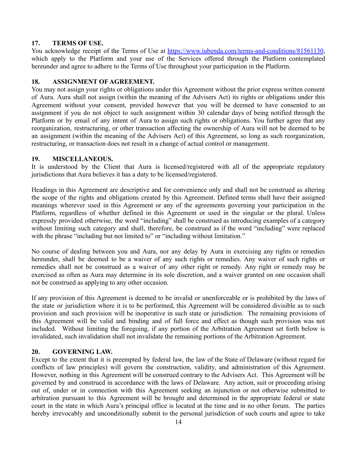## **17. TERMS OF USE.**

You acknowledge receipt of the Terms of Use at <https://www.iubenda.com/terms-and-conditions/81561130>, which apply to the Platform and your use of the Services offered through the Platform contemplated hereunder and agree to adhere to the Terms of Use throughout your participation in the Platform.

## **18. ASSIGNMENT OF AGREEMENT.**

You may not assign your rights or obligations under this Agreement without the prior express written consent of Aura. Aura shall not assign (within the meaning of the Advisers Act) its rights or obligations under this Agreement without your consent, provided however that you will be deemed to have consented to an assignment if you do not object to such assignment within 30 calendar days of being notified through the Platform or by email of any intent of Aura to assign such rights or obligations. You further agree that any reorganization, restructuring, or other transaction affecting the ownership of Aura will not be deemed to be an assignment (within the meaning of the Advisers Act) of this Agreement, so long as such reorganization, restructuring, or transaction does not result in a change of actual control or management.

### **19. MISCELLANEOUS.**

It is understood by the Client that Aura is licensed/registered with all of the appropriate regulatory jurisdictions that Aura believes it has a duty to be licensed/registered.

Headings in this Agreement are descriptive and for convenience only and shall not be construed as altering the scope of the rights and obligations created by this Agreement. Defined terms shall have their assigned meanings wherever used in this Agreement or any of the agreements governing your participation in the Platform, regardless of whether defined in this Agreement or used in the singular or the plural. Unless expressly provided otherwise, the word "including" shall be construed as introducing examples of a category without limiting such category and shall, therefore, be construed as if the word "including" were replaced with the phrase "including but not limited to" or "including without limitation."

No course of dealing between you and Aura, nor any delay by Aura in exercising any rights or remedies hereunder, shall be deemed to be a waiver of any such rights or remedies. Any waiver of such rights or remedies shall not be construed as a waiver of any other right or remedy. Any right or remedy may be exercised as often as Aura may determine in its sole discretion, and a waiver granted on one occasion shall not be construed as applying to any other occasion.

If any provision of this Agreement is deemed to be invalid or unenforceable or is prohibited by the laws of the state or jurisdiction where it is to be performed, this Agreement will be considered divisible as to such provision and such provision will be inoperative in such state or jurisdiction. The remaining provisions of this Agreement will be valid and binding and of full force and effect as though such provision was not included. Without limiting the foregoing, if any portion of the Arbitration Agreement set forth below is invalidated, such invalidation shall not invalidate the remaining portions of the Arbitration Agreement.

# **20. GOVERNING LAW.**

Except to the extent that it is preempted by federal law, the law of the State of Delaware (without regard for conflicts of law principles) will govern the construction, validity, and administration of this Agreement. However, nothing in this Agreement will be construed contrary to the Advisers Act. This Agreement will be governed by and construed in accordance with the laws of Delaware. Any action, suit or proceeding arising out of, under or in connection with this Agreement seeking an injunction or not otherwise submitted to arbitration pursuant to this Agreement will be brought and determined in the appropriate federal or state court in the state in which Aura's principal office is located at the time and in no other forum. The parties hereby irrevocably and unconditionally submit to the personal jurisdiction of such courts and agree to take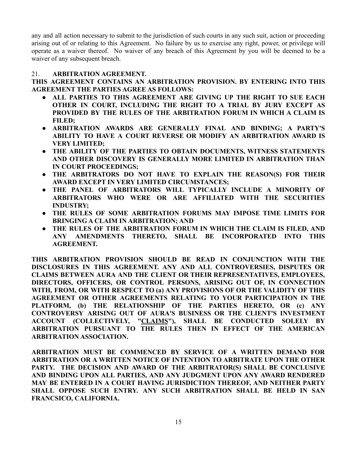any and all action necessary to submit to the jurisdiction of such courts in any such suit, action or proceeding arising out of or relating to this Agreement. No failure by us to exercise any right, power, or privilege will operate as a waiver thereof. No waiver of any breach of this Agreement by you will be deemed to be a waiver of any subsequent breach.

### 21. **ARBITRATION AGREEMENT.**

**THIS AGREEMENT CONTAINS AN ARBITRATION PROVISION. BY ENTERING INTO THIS AGREEMENT THE PARTIES AGREE AS FOLLOWS:**

- **● ALL PARTIES TO THIS AGREEMENT ARE GIVING UP THE RIGHT TO SUE EACH OTHER IN COURT, INCLUDING THE RIGHT TO A TRIAL BY JURY EXCEPT AS PROVIDED BY THE RULES OF THE ARBITRATION FORUM IN WHICH A CLAIM IS FILED;**
- **● ARBITRATION AWARDS ARE GENERALLY FINAL AND BINDING; A PARTY'S ABILITY TO HAVE A COURT REVERSE OR MODIFY AN ARBITRATION AWARD IS VERY LIMITED;**
- **● THE ABILITY OF THE PARTIES TO OBTAIN DOCUMENTS, WITNESS STATEMENTS AND OTHER DISCOVERY IS GENERALLY MORE LIMITED IN ARBITRATION THAN IN COURT PROCEEDINGS;**
- **● THE ARBITRATORS DO NOT HAVE TO EXPLAIN THE REASON(S) FOR THEIR AWARD EXCEPT IN VERY LIMITED CIRCUMSTANCES;**
- **● THE PANEL OF ARBITRATORS WILL TYPICALLY INCLUDE A MINORITY OF ARBITRATORS WHO WERE OR ARE AFFILIATED WITH THE SECURITIES INDUSTRY;**
- **● THE RULES OF SOME ARBITRATION FORUMS MAY IMPOSE TIME LIMITS FOR BRINGING A CLAIM IN ARBITRATION; AND**
- **● THE RULES OF THE ARBITRATION FORUM IN WHICH THE CLAIM IS FILED, AND ANY AMENDMENTS THERETO, SHALL BE INCORPORATED INTO THIS AGREEMENT.**

**THIS ARBITRATION PROVISION SHOULD BE READ IN CONJUNCTION WITH THE DISCLOSURES IN THIS AGREEMENT. ANY AND ALL CONTROVERSIES, DISPUTES OR CLAIMS BETWEEN AURA AND THE CLIENT OR THEIR REPRESENTATIVES, EMPLOYEES, DIRECTORS, OFFICERS, OR CONTROL PERSONS, ARISING OUT OF, IN CONNECTION WITH, FROM, OR WITH RESPECT TO (a) ANY PROVISIONS OF OR THE VALIDITY OF THIS AGREEMENT OR OTHER AGREEMENTS RELATING TO YOUR PARTICIPATION IN THE PLATFORM, (b) THE RELATIONSHIP OF THE PARTIES HERETO, OR (c) ANY CONTROVERSY ARISING OUT OF AURA'S BUSINESS OR THE CLIENT'S INVESTMENT ACCOUNT (COLLECTIVELY, "CLAIMS"), SHALL BE CONDUCTED SOLELY BY ARBITRATION PURSUANT TO THE RULES THEN IN EFFECT OF THE AMERICAN ARBITRATION ASSOCIATION.**

**ARBITRATION MUST BE COMMENCED BY SERVICE OF A WRITTEN DEMAND FOR ARBITRATION OR A WRITTEN NOTICE OF INTENTION TO ARBITRATE UPON THE OTHER PARTY. THE DECISION AND AWARD OF THE ARBITRATOR(S) SHALL BE CONCLUSIVE AND BINDING UPON ALL PARTIES, AND ANY JUDGMENT UPON ANY AWARD RENDERED MAY BE ENTERED IN A COURT HAVING JURISDICTION THEREOF, AND NEITHER PARTY SHALL OPPOSE SUCH ENTRY. ANY SUCH ARBITRATION SHALL BE HELD IN SAN FRANCSICO, CALIFORNIA.**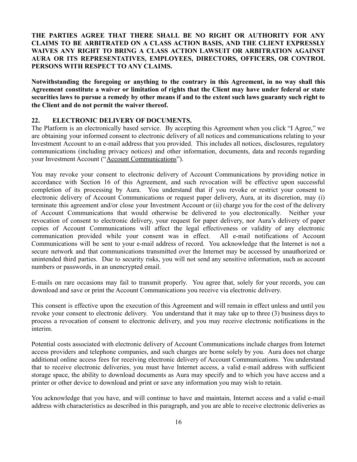# **THE PARTIES AGREE THAT THERE SHALL BE NO RIGHT OR AUTHORITY FOR ANY CLAIMS TO BE ARBITRATED ON A CLASS ACTION BASIS, AND THE CLIENT EXPRESSLY WAIVES ANY RIGHT TO BRING A CLASS ACTION LAWSUIT OR ARBITRATION AGAINST AURA OR ITS REPRESENTATIVES, EMPLOYEES, DIRECTORS, OFFICERS, OR CONTROL PERSONS WITH RESPECT TO ANY CLAIMS.**

**Notwithstanding the foregoing or anything to the contrary in this Agreement, in no way shall this Agreement constitute a waiver or limitation of rights that the Client may have under federal or state** securities laws to pursue a remedy by other means if and to the extent such laws guaranty such right to **the Client and do not permit the waiver thereof.**

#### **22. ELECTRONIC DELIVERY OF DOCUMENTS.**

The Platform is an electronically based service. By accepting this Agreement when you click "I Agree," we are obtaining your informed consent to electronic delivery of all notices and communications relating to your Investment Account to an e-mail address that you provided. This includes all notices, disclosures, regulatory communications (including privacy notices) and other information, documents, data and records regarding your Investment Account ("Account Communications").

You may revoke your consent to electronic delivery of Account Communications by providing notice in accordance with Section 16 of this Agreement, and such revocation will be effective upon successful completion of its processing by Aura. You understand that if you revoke or restrict your consent to electronic delivery of Account Communications or request paper delivery, Aura, at its discretion, may (i) terminate this agreement and/or close your Investment Account or (ii) charge you for the cost of the delivery of Account Communications that would otherwise be delivered to you electronically. Neither your revocation of consent to electronic delivery, your request for paper delivery, nor Aura's delivery of paper copies of Account Communications will affect the legal effectiveness or validity of any electronic communication provided while your consent was in effect. All e-mail notifications of Account Communications will be sent to your e-mail address of record. You acknowledge that the Internet is not a secure network and that communications transmitted over the Internet may be accessed by unauthorized or unintended third parties. Due to security risks, you will not send any sensitive information, such as account numbers or passwords, in an unencrypted email.

E-mails on rare occasions may fail to transmit properly. You agree that, solely for your records, you can download and save or print the Account Communications you receive via electronic delivery.

This consent is effective upon the execution of this Agreement and will remain in effect unless and until you revoke your consent to electronic delivery. You understand that it may take up to three (3) business days to process a revocation of consent to electronic delivery, and you may receive electronic notifications in the interim.

Potential costs associated with electronic delivery of Account Communications include charges from Internet access providers and telephone companies, and such charges are borne solely by you. Aura does not charge additional online access fees for receiving electronic delivery of Account Communications. You understand that to receive electronic deliveries, you must have Internet access, a valid e-mail address with sufficient storage space, the ability to download documents as Aura may specify and to which you have access and a printer or other device to download and print or save any information you may wish to retain.

You acknowledge that you have, and will continue to have and maintain, Internet access and a valid e-mail address with characteristics as described in this paragraph, and you are able to receive electronic deliveries as